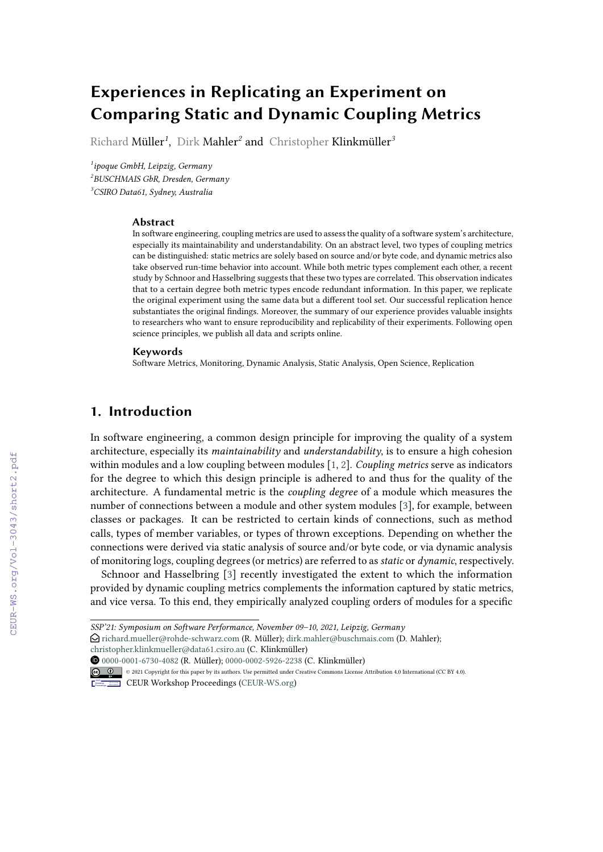# **Experiences in Replicating an Experiment on Comparing Static and Dynamic Coupling Metrics**

Richard Müller*<sup>1</sup>* , Dirk Mahler*<sup>2</sup>* and Christopher Klinkmüller*<sup>3</sup>*

*1 ipoque GmbH, Leipzig, Germany 2 BUSCHMAIS GbR, Dresden, Germany <sup>3</sup>CSIRO Data61, Sydney, Australia*

#### **Abstract**

In software engineering, coupling metrics are used to assess the quality of a software system's architecture, especially its maintainability and understandability. On an abstract level, two types of coupling metrics can be distinguished: static metrics are solely based on source and/or byte code, and dynamic metrics also take observed run-time behavior into account. While both metric types complement each other, a recent study by Schnoor and Hasselbring suggests that these two types are correlated. This observation indicates that to a certain degree both metric types encode redundant information. In this paper, we replicate the original experiment using the same data but a different tool set. Our successful replication hence substantiates the original findings. Moreover, the summary of our experience provides valuable insights to researchers who want to ensure reproducibility and replicability of their experiments. Following open science principles, we publish all data and scripts online.

#### **Keywords**

Software Metrics, Monitoring, Dynamic Analysis, Static Analysis, Open Science, Replication

## **1. Introduction**

In software engineering, a common design principle for improving the quality of a system architecture, especially its *maintainability* and *understandability*, is to ensure a high cohesion within modules and a low coupling between modules [\[1,](#page--1-0) [2\]](#page--1-1). *Coupling metrics* serve as indicators for the degree to which this design principle is adhered to and thus for the quality of the architecture. A fundamental metric is the *coupling degree* of a module which measures the number of connections between a module and other system modules [\[3\]](#page--1-2), for example, between classes or packages. It can be restricted to certain kinds of connections, such as method calls, types of member variables, or types of thrown exceptions. Depending on whether the connections were derived via static analysis of source and/or byte code, or via dynamic analysis of monitoring logs, coupling degrees (or metrics) are referred to as*static* or *dynamic*, respectively.

Schnoor and Hasselbring [\[3\]](#page--1-2) recently investigated the extent to which the information provided by dynamic coupling metrics complements the information captured by static metrics, and vice versa. To this end, they empirically analyzed coupling orders of modules for a specific

[0000-0001-6730-4082](https://orcid.org/0000-0001-6730-4082) (R. Müller); [0000-0002-5926-2238](https://orcid.org/0000-0002-5926-2238) (C. Klinkmüller)



CEUR Workshop [Proceedings](http://ceur-ws.org) [\(CEUR-WS.org\)](http://ceur-ws.org)

*SSP'21: Symposium on Software Performance, November 09–10, 2021, Leipzig, Germany*

 $\bigcirc$  [richard.mueller@rohde-schwarz.com](mailto:richard.mueller@rohde-schwarz.com) (R. Müller); [dirk.mahler@buschmais.com](mailto:dirk.mahler@buschmais.com) (D. Mahler);

[christopher.klinkmueller@data61.csiro.au](mailto:christopher.klinkmueller@data61.csiro.au) (C. Klinkmüller)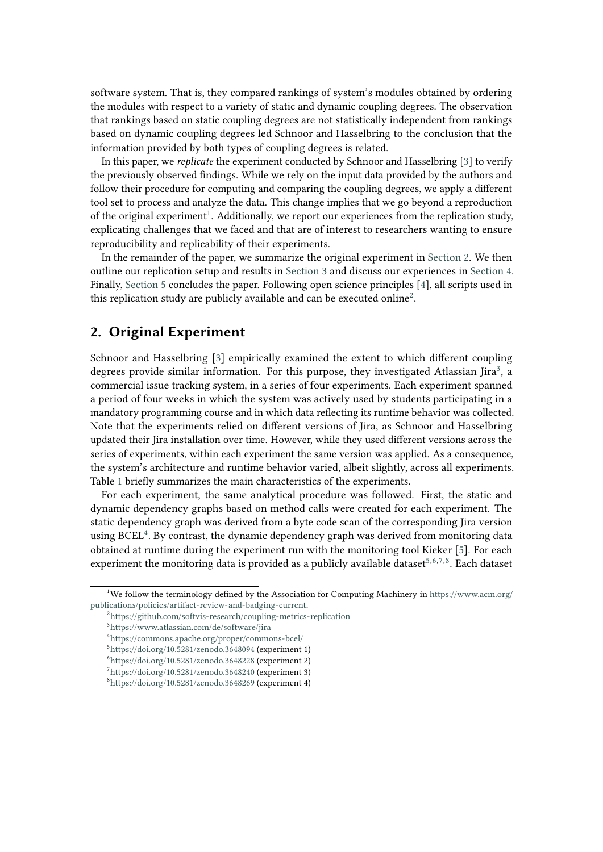software system. That is, they compared rankings of system's modules obtained by ordering the modules with respect to a variety of static and dynamic coupling degrees. The observation that rankings based on static coupling degrees are not statistically independent from rankings based on dynamic coupling degrees led Schnoor and Hasselbring to the conclusion that the information provided by both types of coupling degrees is related.

In this paper, we *replicate* the experiment conducted by Schnoor and Hasselbring [\[3\]](#page-6-0) to verify the previously observed findings. While we rely on the input data provided by the authors and follow their procedure for computing and comparing the coupling degrees, we apply a different tool set to process and analyze the data. This change implies that we go beyond a reproduction of the original experiment<sup>[1](#page-1-0)</sup>. Additionally, we report our experiences from the replication study, explicating challenges that we faced and that are of interest to researchers wanting to ensure reproducibility and replicability of their experiments.

In the remainder of the paper, we summarize the original experiment in [Section 2.](#page-1-1) We then outline our replication setup and results in [Section 3](#page-2-0) and discuss our experiences in [Section 4.](#page-4-0) Finally, [Section 5](#page-5-0) concludes the paper. Following open science principles [\[4\]](#page-6-1), all scripts used in this replication study are publicly available and can be executed online<sup>[2](#page-1-2)</sup>.

# <span id="page-1-1"></span>**2. Original Experiment**

Schnoor and Hasselbring [\[3\]](#page-6-0) empirically examined the extent to which different coupling degrees provide similar information. For this purpose, they investigated Atlassian Jira<sup>[3](#page-1-3)</sup>, a commercial issue tracking system, in a series of four experiments. Each experiment spanned a period of four weeks in which the system was actively used by students participating in a mandatory programming course and in which data reflecting its runtime behavior was collected. Note that the experiments relied on different versions of Jira, as Schnoor and Hasselbring updated their Jira installation over time. However, while they used different versions across the series of experiments, within each experiment the same version was applied. As a consequence, the system's architecture and runtime behavior varied, albeit slightly, across all experiments. Table [1](#page-2-1) briefly summarizes the main characteristics of the experiments.

For each experiment, the same analytical procedure was followed. First, the static and dynamic dependency graphs based on method calls were created for each experiment. The static dependency graph was derived from a byte code scan of the corresponding Jira version using BCEL<sup>[4](#page-1-4)</sup>. By contrast, the dynamic dependency graph was derived from monitoring data obtained at runtime during the experiment run with the monitoring tool Kieker [\[5\]](#page-6-2). For each experiment the monitoring data is provided as a publicly available dataset $^{5,6,7,8}$  $^{5,6,7,8}$  $^{5,6,7,8}$  $^{5,6,7,8}$  $^{5,6,7,8}$  $^{5,6,7,8}$ . Each dataset

<span id="page-1-0"></span><sup>1</sup>We follow the terminology defined by the Association for Computing Machinery in [https://www.acm.org/](https://www.acm.org/publications/policies/artifact-review-and-badging-current) [publications/policies/artifact-review-and-badging-current.](https://www.acm.org/publications/policies/artifact-review-and-badging-current)

<span id="page-1-2"></span><sup>2</sup> <https://github.com/softvis-research/coupling-metrics-replication>

<span id="page-1-3"></span><sup>3</sup> <https://www.atlassian.com/de/software/jira>

<span id="page-1-4"></span><sup>4</sup> <https://commons.apache.org/proper/commons-bcel/>

<span id="page-1-5"></span><sup>5</sup> <https://doi.org/10.5281/zenodo.3648094> (experiment 1)

<span id="page-1-6"></span><sup>6</sup> <https://doi.org/10.5281/zenodo.3648228> (experiment 2)

<span id="page-1-7"></span> $^{7}$ <https://doi.org/10.5281/zenodo.3648240> (experiment 3)

<span id="page-1-8"></span><sup>8</sup> <https://doi.org/10.5281/zenodo.3648269> (experiment 4)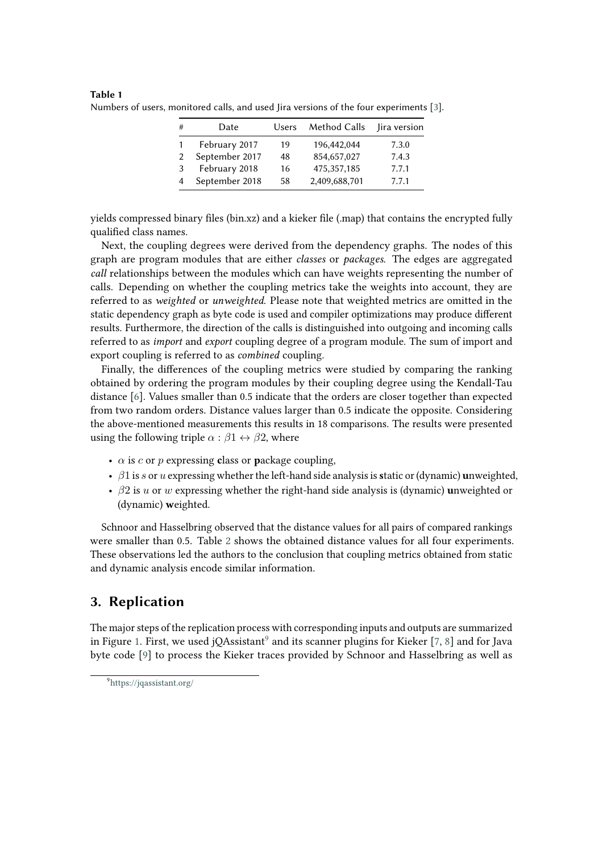| # | Date           | Users | Method Calls  | Jira version |
|---|----------------|-------|---------------|--------------|
|   | February 2017  | 19    | 196,442,044   | 7.3.0        |
|   | September 2017 | 48    | 854,657,027   | 7.4.3        |
| 3 | February 2018  | 16    | 475, 357, 185 | 7.7.1        |
|   | September 2018 | 58    | 2,409,688,701 | 7.7.1        |

<span id="page-2-1"></span>**Table 1** Numbers of users, monitored calls, and used Jira versions of the four experiments [\[3\]](#page-6-0).

yields compressed binary files (bin.xz) and a kieker file (.map) that contains the encrypted fully qualified class names.

Next, the coupling degrees were derived from the dependency graphs. The nodes of this graph are program modules that are either *classes* or *packages*. The edges are aggregated *call* relationships between the modules which can have weights representing the number of calls. Depending on whether the coupling metrics take the weights into account, they are referred to as *weighted* or *unweighted*. Please note that weighted metrics are omitted in the static dependency graph as byte code is used and compiler optimizations may produce different results. Furthermore, the direction of the calls is distinguished into outgoing and incoming calls referred to as *import* and *export* coupling degree of a program module. The sum of import and export coupling is referred to as *combined* coupling.

Finally, the differences of the coupling metrics were studied by comparing the ranking obtained by ordering the program modules by their coupling degree using the Kendall-Tau distance [\[6\]](#page-6-3). Values smaller than 0.5 indicate that the orders are closer together than expected from two random orders. Distance values larger than 0.5 indicate the opposite. Considering the above-mentioned measurements this results in 18 comparisons. The results were presented using the following triple  $\alpha : \beta_1 \leftrightarrow \beta_2$ , where

- $\alpha$  is *c* or *p* expressing class or **p**ackage coupling,
- $\beta$ 1 is s or u expressing whether the left-hand side analysis is static or (dynamic) **unweighted**,
- $\beta$ 2 is *u* or *w* expressing whether the right-hand side analysis is (dynamic) **unweighted or** (dynamic) **w**eighted.

Schnoor and Hasselbring observed that the distance values for all pairs of compared rankings were smaller than 0.5. Table [2](#page-3-0) shows the obtained distance values for all four experiments. These observations led the authors to the conclusion that coupling metrics obtained from static and dynamic analysis encode similar information.

# <span id="page-2-0"></span>**3. Replication**

The major steps of the replication process with corresponding inputs and outputs are summarized in Figure [1.](#page-4-1) First, we used jQAssistant $^9$  $^9$  and its scanner plugins for Kieker [\[7,](#page-6-4) [8\]](#page-6-5) and for Java byte code [\[9\]](#page-6-6) to process the Kieker traces provided by Schnoor and Hasselbring as well as

<span id="page-2-2"></span><sup>9</sup> <https://jqassistant.org/>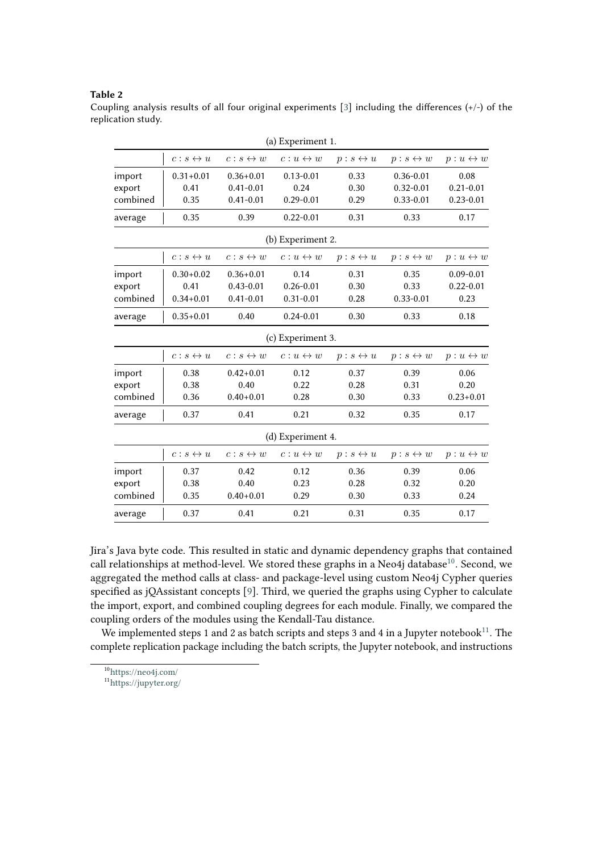#### <span id="page-3-0"></span>**Table 2**

Coupling analysis results of all four original experiments [\[3\]](#page-6-0) including the differences  $(+/-)$  of the replication study.

|          |                           |                        | (a) Experiment 1.        |                           |                           |                          |
|----------|---------------------------|------------------------|--------------------------|---------------------------|---------------------------|--------------------------|
|          | $c : s \leftrightarrow u$ | $c:s\leftrightarrow w$ | $c: u \leftrightarrow w$ | $p : s \leftrightarrow u$ | $p : s \leftrightarrow w$ | $p: u \leftrightarrow w$ |
| import   | $0.31 + 0.01$             | $0.36 + 0.01$          | $0.13 - 0.01$            | 0.33                      | $0.36 - 0.01$             | 0.08                     |
| export   | 0.41                      | $0.41 - 0.01$          | 0.24                     | 0.30                      | $0.32 - 0.01$             | $0.21 - 0.01$            |
| combined | 0.35                      | $0.41 - 0.01$          | $0.29 - 0.01$            | 0.29                      | $0.33 - 0.01$             | $0.23 - 0.01$            |
| average  | 0.35                      | 0.39                   | $0.22 - 0.01$            | 0.31                      | 0.33                      | 0.17                     |
|          |                           |                        | (b) Experiment 2.        |                           |                           |                          |
|          | $c:s\leftrightarrow u$    | $c:s\leftrightarrow w$ | $c: u \leftrightarrow w$ | $p : s \leftrightarrow u$ | $p : s \leftrightarrow w$ | $p: u \leftrightarrow w$ |
| import   | $0.30 + 0.02$             | $0.36 + 0.01$          | 0.14                     | 0.31                      | 0.35                      | $0.09 - 0.01$            |
| export   | 0.41                      | $0.43 - 0.01$          | $0.26 - 0.01$            | 0.30                      | 0.33                      | $0.22 - 0.01$            |
| combined | $0.34 + 0.01$             | $0.41 - 0.01$          | $0.31 - 0.01$            | 0.28                      | $0.33 - 0.01$             | 0.23                     |
| average  | $0.35 + 0.01$             | 0.40                   | $0.24 - 0.01$            | 0.30                      | 0.33                      | 0.18                     |
|          |                           |                        | (c) Experiment 3.        |                           |                           |                          |
|          | $c: s \leftrightarrow u$  | $c:s\leftrightarrow w$ | $c: u \leftrightarrow w$ | $p : s \leftrightarrow u$ | $p : s \leftrightarrow w$ | $p: u \leftrightarrow w$ |
| import   | 0.38                      | $0.42 + 0.01$          | 0.12                     | 0.37                      | 0.39                      | 0.06                     |
| export   | 0.38                      | 0.40                   | 0.22                     | 0.28                      | 0.31                      | 0.20                     |
| combined | 0.36                      | $0.40 + 0.01$          | 0.28                     | 0.30                      | 0.33                      | $0.23 + 0.01$            |
| average  | 0.37                      | 0.41                   | 0.21                     | 0.32                      | 0.35                      | 0.17                     |
|          |                           |                        | (d) Experiment 4.        |                           |                           |                          |
|          | $c:s\leftrightarrow u$    | $c:s\leftrightarrow w$ | $c: u \leftrightarrow w$ | $p : s \leftrightarrow u$ | $p : s \leftrightarrow w$ | $p: u \leftrightarrow w$ |
| import   | 0.37                      | 0.42                   | 0.12                     | 0.36                      | 0.39                      | 0.06                     |
| export   | 0.38                      | 0.40                   | 0.23                     | 0.28                      | 0.32                      | 0.20                     |
| combined | 0.35                      | $0.40 + 0.01$          | 0.29                     | 0.30                      | 0.33                      | 0.24                     |
| average  | 0.37                      | 0.41                   | 0.21                     | 0.31                      | 0.35                      | 0.17                     |

Jira's Java byte code. This resulted in static and dynamic dependency graphs that contained call relationships at method-level. We stored these graphs in a Neo4j database<sup>[10](#page-3-1)</sup>. Second, we aggregated the method calls at class- and package-level using custom Neo4j Cypher queries specified as jQAssistant concepts [\[9\]](#page-6-6). Third, we queried the graphs using Cypher to calculate the import, export, and combined coupling degrees for each module. Finally, we compared the coupling orders of the modules using the Kendall-Tau distance.

We implemented steps 1 and 2 as batch scripts and steps 3 and 4 in a Jupyter notebook<sup>[11](#page-3-2)</sup>. The complete replication package including the batch scripts, the Jupyter notebook, and instructions

<span id="page-3-1"></span><sup>10</sup><https://neo4j.com/>

<span id="page-3-2"></span><sup>11</sup><https://jupyter.org/>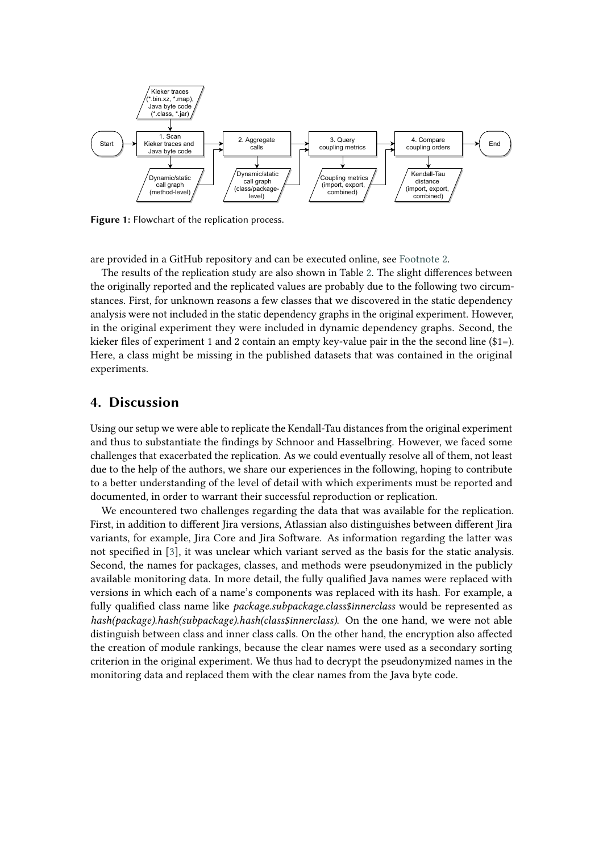<span id="page-4-1"></span>

**Figure 1:** Flowchart of the replication process.

are provided in a GitHub repository and can be executed online, see [Footnote 2.](#page-1-2)

The results of the replication study are also shown in Table [2.](#page-3-0) The slight differences between the originally reported and the replicated values are probably due to the following two circumstances. First, for unknown reasons a few classes that we discovered in the static dependency analysis were not included in the static dependency graphs in the original experiment. However, in the original experiment they were included in dynamic dependency graphs. Second, the kieker files of experiment 1 and 2 contain an empty key-value pair in the the second line (\$1=). Here, a class might be missing in the published datasets that was contained in the original experiments.

#### <span id="page-4-0"></span>**4. Discussion**

Using our setup we were able to replicate the Kendall-Tau distances from the original experiment and thus to substantiate the findings by Schnoor and Hasselbring. However, we faced some challenges that exacerbated the replication. As we could eventually resolve all of them, not least due to the help of the authors, we share our experiences in the following, hoping to contribute to a better understanding of the level of detail with which experiments must be reported and documented, in order to warrant their successful reproduction or replication.

We encountered two challenges regarding the data that was available for the replication. First, in addition to different Jira versions, Atlassian also distinguishes between different Jira variants, for example, Jira Core and Jira Software. As information regarding the latter was not specified in [\[3\]](#page-6-0), it was unclear which variant served as the basis for the static analysis. Second, the names for packages, classes, and methods were pseudonymized in the publicly available monitoring data. In more detail, the fully qualified Java names were replaced with versions in which each of a name's components was replaced with its hash. For example, a fully qualified class name like *package.subpackage.class\$innerclass* would be represented as *hash(package).hash(subpackage).hash(class\$innerclass)*. On the one hand, we were not able distinguish between class and inner class calls. On the other hand, the encryption also affected the creation of module rankings, because the clear names were used as a secondary sorting criterion in the original experiment. We thus had to decrypt the pseudonymized names in the monitoring data and replaced them with the clear names from the Java byte code.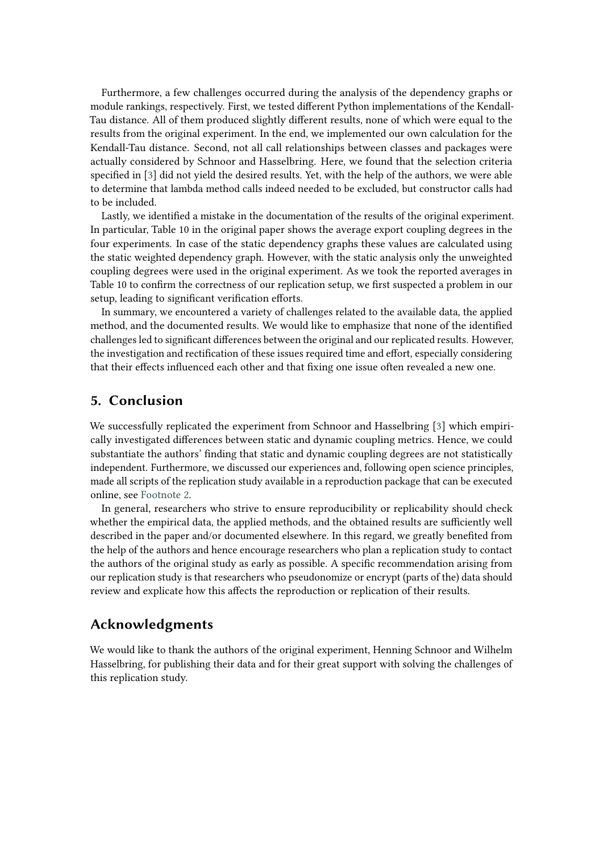Furthermore, a few challenges occurred during the analysis of the dependency graphs or module rankings, respectively. First, we tested different Python implementations of the Kendall-Tau distance. All of them produced slightly different results, none of which were equal to the results from the original experiment. In the end, we implemented our own calculation for the Kendall-Tau distance. Second, not all call relationships between classes and packages were actually considered by Schnoor and Hasselbring. Here, we found that the selection criteria specified in [\[3\]](#page-6-0) did not yield the desired results. Yet, with the help of the authors, we were able to determine that lambda method calls indeed needed to be excluded, but constructor calls had to be included.

Lastly, we identified a mistake in the documentation of the results of the original experiment. In particular, Table 10 in the original paper shows the average export coupling degrees in the four experiments. In case of the static dependency graphs these values are calculated using the static weighted dependency graph. However, with the static analysis only the unweighted coupling degrees were used in the original experiment. As we took the reported averages in Table 10 to confirm the correctness of our replication setup, we first suspected a problem in our setup, leading to significant verification efforts.

In summary, we encountered a variety of challenges related to the available data, the applied method, and the documented results. We would like to emphasize that none of the identified challenges led to significant differences between the original and our replicated results. However, the investigation and rectification of these issues required time and effort, especially considering that their effects influenced each other and that fixing one issue often revealed a new one.

### <span id="page-5-0"></span>**5. Conclusion**

We successfully replicated the experiment from Schnoor and Hasselbring [\[3\]](#page-6-0) which empirically investigated differences between static and dynamic coupling metrics. Hence, we could substantiate the authors' finding that static and dynamic coupling degrees are not statistically independent. Furthermore, we discussed our experiences and, following open science principles, made all scripts of the replication study available in a reproduction package that can be executed online, see [Footnote 2.](#page-1-2)

In general, researchers who strive to ensure reproducibility or replicability should check whether the empirical data, the applied methods, and the obtained results are sufficiently well described in the paper and/or documented elsewhere. In this regard, we greatly benefited from the help of the authors and hence encourage researchers who plan a replication study to contact the authors of the original study as early as possible. A specific recommendation arising from our replication study is that researchers who pseudonomize or encrypt (parts of the) data should review and explicate how this affects the reproduction or replication of their results.

## **Acknowledgments**

We would like to thank the authors of the original experiment, Henning Schnoor and Wilhelm Hasselbring, for publishing their data and for their great support with solving the challenges of this replication study.